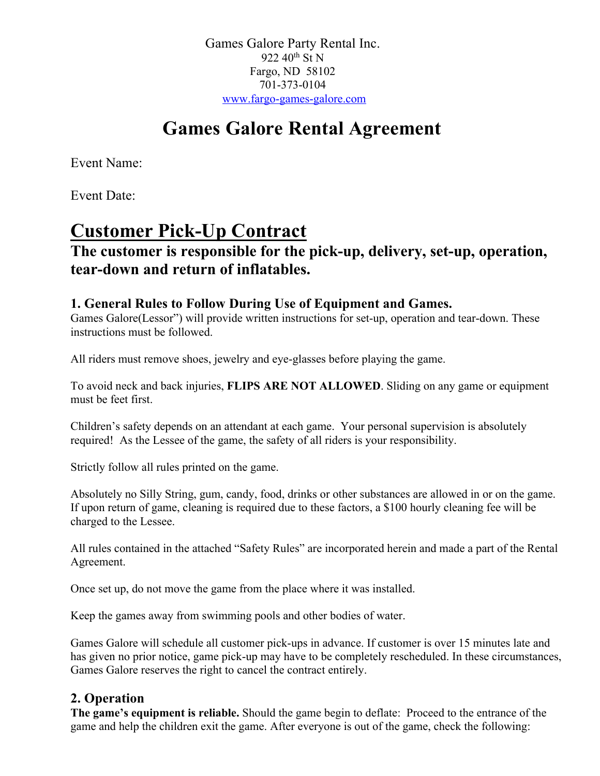Games Galore Party Rental Inc. 922 40<sup>th</sup> St N Fargo, ND 58102 701-373-0104 www.fargo-games-galore.com

# **Games Galore Rental Agreement**

Event Name:

Event Date:

# **Customer Pick-Up Contract**

# **The customer is responsible for the pick-up, delivery, set-up, operation, tear-down and return of inflatables.**

## **1. General Rules to Follow During Use of Equipment and Games.**

Games Galore(Lessor") will provide written instructions for set-up, operation and tear-down. These instructions must be followed.

All riders must remove shoes, jewelry and eye-glasses before playing the game.

To avoid neck and back injuries, **FLIPS ARE NOT ALLOWED**. Sliding on any game or equipment must be feet first.

Children's safety depends on an attendant at each game. Your personal supervision is absolutely required! As the Lessee of the game, the safety of all riders is your responsibility.

Strictly follow all rules printed on the game.

Absolutely no Silly String, gum, candy, food, drinks or other substances are allowed in or on the game. If upon return of game, cleaning is required due to these factors, a \$100 hourly cleaning fee will be charged to the Lessee.

All rules contained in the attached "Safety Rules" are incorporated herein and made a part of the Rental Agreement.

Once set up, do not move the game from the place where it was installed.

Keep the games away from swimming pools and other bodies of water.

Games Galore will schedule all customer pick-ups in advance. If customer is over 15 minutes late and has given no prior notice, game pick-up may have to be completely rescheduled. In these circumstances, Games Galore reserves the right to cancel the contract entirely.

## **2. Operation**

**The game's equipment is reliable.** Should the game begin to deflate: Proceed to the entrance of the game and help the children exit the game. After everyone is out of the game, check the following: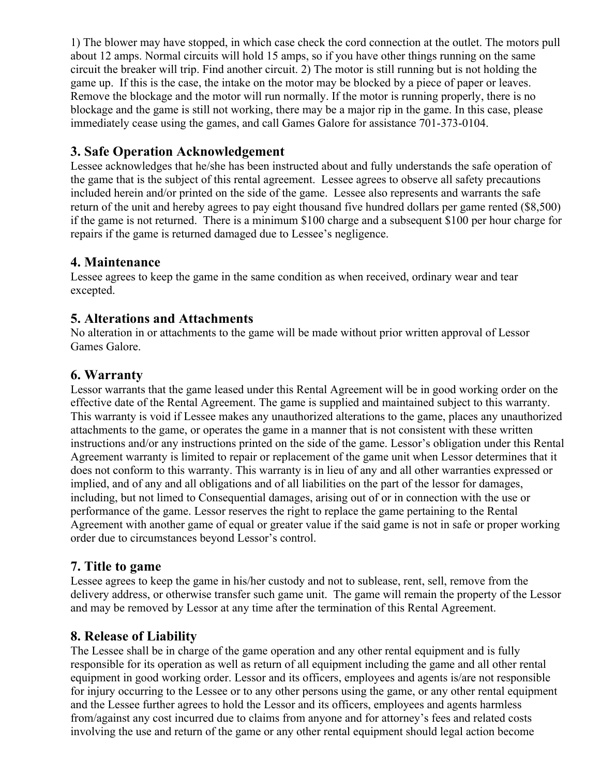1) The blower may have stopped, in which case check the cord connection at the outlet. The motors pull about 12 amps. Normal circuits will hold 15 amps, so if you have other things running on the same circuit the breaker will trip. Find another circuit. 2) The motor is still running but is not holding the game up. If this is the case, the intake on the motor may be blocked by a piece of paper or leaves. Remove the blockage and the motor will run normally. If the motor is running properly, there is no blockage and the game is still not working, there may be a major rip in the game. In this case, please immediately cease using the games, and call Games Galore for assistance 701-373-0104.

## **3. Safe Operation Acknowledgement**

Lessee acknowledges that he/she has been instructed about and fully understands the safe operation of the game that is the subject of this rental agreement. Lessee agrees to observe all safety precautions included herein and/or printed on the side of the game. Lessee also represents and warrants the safe return of the unit and hereby agrees to pay eight thousand five hundred dollars per game rented (\$8,500) if the game is not returned. There is a minimum \$100 charge and a subsequent \$100 per hour charge for repairs if the game is returned damaged due to Lessee's negligence.

## **4. Maintenance**

Lessee agrees to keep the game in the same condition as when received, ordinary wear and tear excepted.

## **5. Alterations and Attachments**

No alteration in or attachments to the game will be made without prior written approval of Lessor Games Galore.

## **6. Warranty**

Lessor warrants that the game leased under this Rental Agreement will be in good working order on the effective date of the Rental Agreement. The game is supplied and maintained subject to this warranty. This warranty is void if Lessee makes any unauthorized alterations to the game, places any unauthorized attachments to the game, or operates the game in a manner that is not consistent with these written instructions and/or any instructions printed on the side of the game. Lessor's obligation under this Rental Agreement warranty is limited to repair or replacement of the game unit when Lessor determines that it does not conform to this warranty. This warranty is in lieu of any and all other warranties expressed or implied, and of any and all obligations and of all liabilities on the part of the lessor for damages, including, but not limed to Consequential damages, arising out of or in connection with the use or performance of the game. Lessor reserves the right to replace the game pertaining to the Rental Agreement with another game of equal or greater value if the said game is not in safe or proper working order due to circumstances beyond Lessor's control.

### **7. Title to game**

Lessee agrees to keep the game in his/her custody and not to sublease, rent, sell, remove from the delivery address, or otherwise transfer such game unit. The game will remain the property of the Lessor and may be removed by Lessor at any time after the termination of this Rental Agreement.

## **8. Release of Liability**

The Lessee shall be in charge of the game operation and any other rental equipment and is fully responsible for its operation as well as return of all equipment including the game and all other rental equipment in good working order. Lessor and its officers, employees and agents is/are not responsible for injury occurring to the Lessee or to any other persons using the game, or any other rental equipment and the Lessee further agrees to hold the Lessor and its officers, employees and agents harmless from/against any cost incurred due to claims from anyone and for attorney's fees and related costs involving the use and return of the game or any other rental equipment should legal action become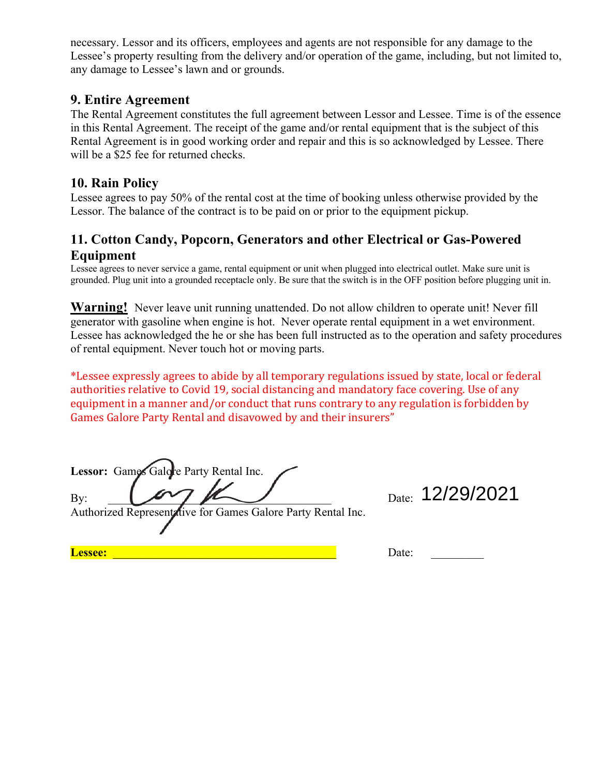necessary. Lessor and its officers, employees and agents are not responsible for any damage to the Lessee's property resulting from the delivery and/or operation of the game, including, but not limited to, any damage to Lessee's lawn and or grounds.

### **9. Entire Agreement**

The Rental Agreement constitutes the full agreement between Lessor and Lessee. Time is of the essence in this Rental Agreement. The receipt of the game and/or rental equipment that is the subject of this Rental Agreement is in good working order and repair and this is so acknowledged by Lessee. There will be a \$25 fee for returned checks.

### **10. Rain Policy**

Lessee agrees to pay 50% of the rental cost at the time of booking unless otherwise provided by the Lessor. The balance of the contract is to be paid on or prior to the equipment pickup.

## **11. Cotton Candy, Popcorn, Generators and other Electrical or Gas-Powered Equipment**

Lessee agrees to never service a game, rental equipment or unit when plugged into electrical outlet. Make sure unit is grounded. Plug unit into a grounded receptacle only. Be sure that the switch is in the OFF position before plugging unit in.

**Warning!** Never leave unit running unattended. Do not allow children to operate unit! Never fill generator with gasoline when engine is hot. Never operate rental equipment in a wet environment. Lessee has acknowledged the he or she has been full instructed as to the operation and safety procedures of rental equipment. Never touch hot or moving parts.

\*Lessee expressly agrees to abide by all temporary regulations issued by state, local or federal authorities relative to Covid 19, social distancing and mandatory face covering. Use of any equipment in a manner and/or conduct that runs contrary to any regulation is forbidden by Games Galore Party Rental and disavowed by and their insurers"

Lessor: Games Galore Party Rental Inc. By: \_\_\_\_\_\_\_\_\_\_\_\_\_\_\_\_\_\_\_\_\_\_\_\_\_\_\_\_\_\_\_\_\_\_\_\_\_\_ Date:

Authorized Representative for Games Galore Party Rental Inc.

Date: 12/29/2021

**Lessee:** \_\_\_\_\_\_\_\_\_\_\_\_\_\_\_\_\_\_\_\_\_\_\_\_\_\_\_\_\_\_\_\_\_\_\_\_\_\_ Date: \_\_\_\_\_\_\_\_\_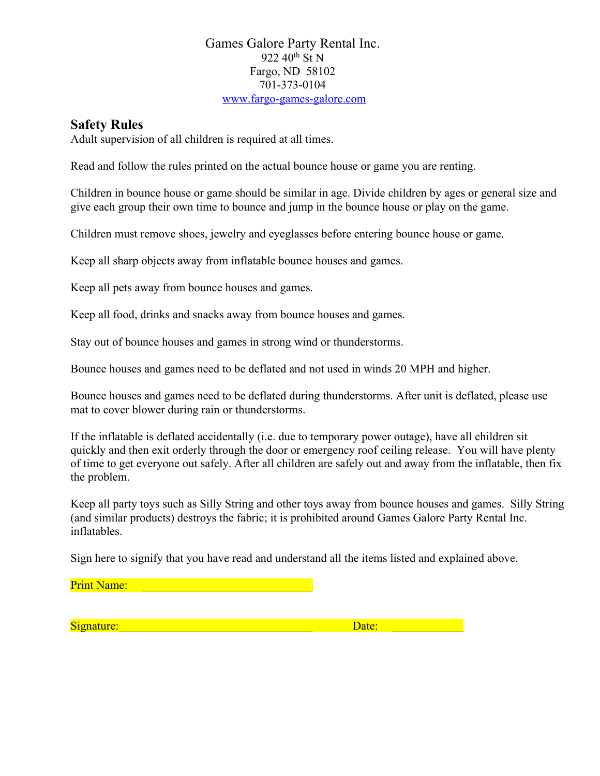#### Games Galore Party Rental Inc. 922 40<sup>th</sup> St N Fargo, ND 58102 701-373-0104 www.fargo-games-galore.com

### **Safety Rules**

Adult supervision of all children is required at all times.

Read and follow the rules printed on the actual bounce house or game you are renting.

Children in bounce house or game should be similar in age. Divide children by ages or general size and give each group their own time to bounce and jump in the bounce house or play on the game.

Children must remove shoes, jewelry and eyeglasses before entering bounce house or game.

Keep all sharp objects away from inflatable bounce houses and games.

Keep all pets away from bounce houses and games.

Keep all food, drinks and snacks away from bounce houses and games.

Stay out of bounce houses and games in strong wind or thunderstorms.

Bounce houses and games need to be deflated and not used in winds 20 MPH and higher.

Bounce houses and games need to be deflated during thunderstorms. After unit is deflated, please use mat to cover blower during rain or thunderstorms.

If the inflatable is deflated accidentally (i.e. due to temporary power outage), have all children sit quickly and then exit orderly through the door or emergency roof ceiling release. You will have plenty of time to get everyone out safely. After all children are safely out and away from the inflatable, then fix the problem.

Keep all party toys such as Silly String and other toys away from bounce houses and games. Silly String (and similar products) destroys the fabric; it is prohibited around Games Galore Party Rental Inc. inflatables.

Sign here to signify that you have read and understand all the items listed and explained above.

Print Name: <u>\_\_\_\_\_\_\_\_\_\_\_\_\_</u>

Signature:\_\_\_\_\_\_\_\_\_\_\_\_\_\_\_\_\_\_\_\_\_\_\_\_\_\_\_\_\_\_\_\_\_ Date: \_\_\_\_\_\_\_\_\_\_\_\_